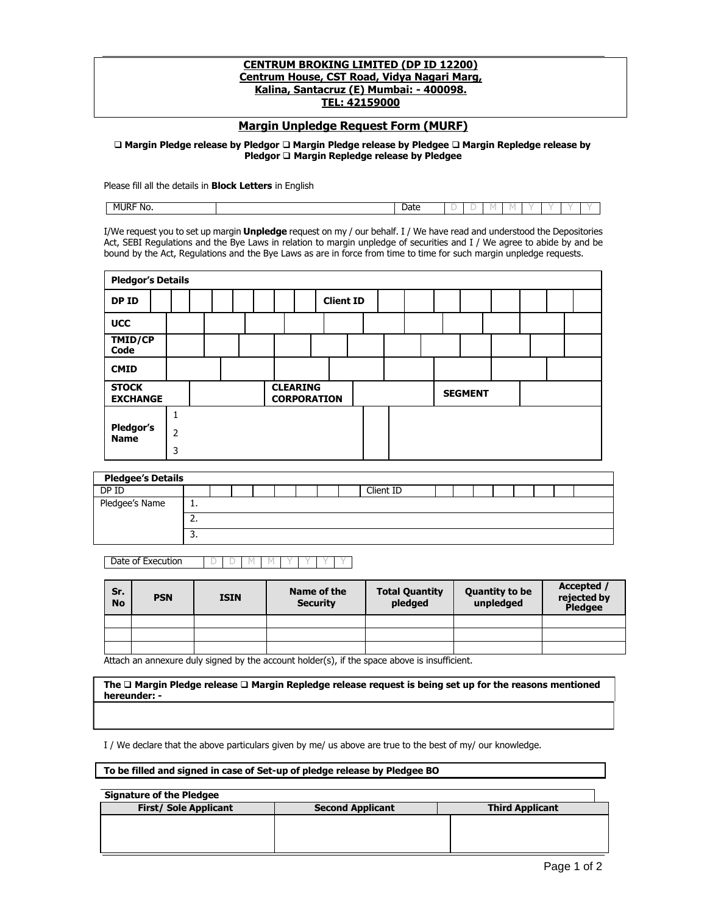## **CENTRUM BROKING LIMITED (DP ID 12200) Centrum House, CST Road, Vidya Nagari Marg, Kalina, Santacruz (E) Mumbai: - 400098. TEL: 42159000**

## **Margin Unpledge Request Form (MURF)**

 **Margin Pledge release by Pledgor Margin Pledge release by Pledgee Margin Repledge release by Pledgor Margin Repledge release by Pledgee**

Please fill all the details in **Block Letters** in English

| MURF N'<br>No. | Date | - |  |  |  |  |
|----------------|------|---|--|--|--|--|
|                |      |   |  |  |  |  |

I/We request you to set up margin **Unpledge** request on my / our behalf. I / We have read and understood the Depositories Act, SEBI Regulations and the Bye Laws in relation to margin unpledge of securities and I / We agree to abide by and be bound by the Act, Regulations and the Bye Laws as are in force from time to time for such margin unpledge requests.

| <b>Pledgor's Details</b>        |   |  |  |  |                                       |                  |  |  |  |                |  |  |  |  |
|---------------------------------|---|--|--|--|---------------------------------------|------------------|--|--|--|----------------|--|--|--|--|
| DP ID                           |   |  |  |  |                                       | <b>Client ID</b> |  |  |  |                |  |  |  |  |
| <b>UCC</b>                      |   |  |  |  |                                       |                  |  |  |  |                |  |  |  |  |
| TMID/CP<br>Code                 |   |  |  |  |                                       |                  |  |  |  |                |  |  |  |  |
| <b>CMID</b>                     |   |  |  |  |                                       |                  |  |  |  |                |  |  |  |  |
| <b>STOCK</b><br><b>EXCHANGE</b> |   |  |  |  | <b>CLEARING</b><br><b>CORPORATION</b> |                  |  |  |  | <b>SEGMENT</b> |  |  |  |  |
|                                 | 1 |  |  |  |                                       |                  |  |  |  |                |  |  |  |  |
| Pledgor's<br><b>Name</b>        | 2 |  |  |  |                                       |                  |  |  |  |                |  |  |  |  |
|                                 | 3 |  |  |  |                                       |                  |  |  |  |                |  |  |  |  |

| <b>Pledgee's Details</b> |          |  |  |  |  |  |  |  |           |  |  |  |  |
|--------------------------|----------|--|--|--|--|--|--|--|-----------|--|--|--|--|
| DP ID                    |          |  |  |  |  |  |  |  | Client ID |  |  |  |  |
| Pledgee's Name           | д.       |  |  |  |  |  |  |  |           |  |  |  |  |
|                          | <u></u>  |  |  |  |  |  |  |  |           |  |  |  |  |
|                          | <u>.</u> |  |  |  |  |  |  |  |           |  |  |  |  |

Date of Execution D D M M

| Sr.<br><b>No</b> | <b>PSN</b> | <b>ISIN</b> | Name of the<br><b>Security</b> | <b>Total Quantity</b><br>pledged | <b>Quantity to be</b><br>unpledged | Accepted /<br>rejected by<br><b>Pledgee</b> |
|------------------|------------|-------------|--------------------------------|----------------------------------|------------------------------------|---------------------------------------------|
|                  |            |             |                                |                                  |                                    |                                             |
|                  |            |             |                                |                                  |                                    |                                             |
|                  |            |             |                                |                                  |                                    |                                             |

Attach an annexure duly signed by the account holder(s), if the space above is insufficient.

**The Margin Pledge release Margin Repledge release request is being set up for the reasons mentioned hereunder: -**

I / We declare that the above particulars given by me/ us above are true to the best of my/ our knowledge.

| To be filled and signed in case of Set-up of pledge release by Pledgee BO |  |  |  |  |  |  |  |  |  |
|---------------------------------------------------------------------------|--|--|--|--|--|--|--|--|--|
|---------------------------------------------------------------------------|--|--|--|--|--|--|--|--|--|

| <b>Signature of the Pledgee</b> |                         |                        |  |  |  |  |  |  |  |
|---------------------------------|-------------------------|------------------------|--|--|--|--|--|--|--|
| <b>First/ Sole Applicant</b>    | <b>Second Applicant</b> | <b>Third Applicant</b> |  |  |  |  |  |  |  |
|                                 |                         |                        |  |  |  |  |  |  |  |
|                                 |                         |                        |  |  |  |  |  |  |  |
|                                 |                         |                        |  |  |  |  |  |  |  |